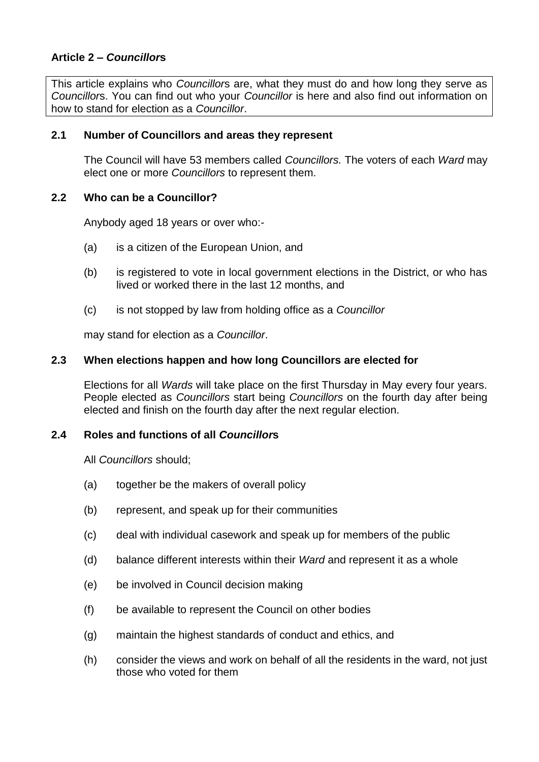# **Article 2 –** *Councillor***s**

This article explains who *Councillor*s are, what they must do and how long they serve as *Councillor*s. You can find out who your *Councillor* is here and also find out information on how to stand for election as a *Councillor*.

#### **2.1 Number of Councillors and areas they represent**

The Council will have 53 members called *Councillors.* The voters of each *Ward* may elect one or more *Councillors* to represent them.

#### **2.2 Who can be a Councillor?**

Anybody aged 18 years or over who:-

- (a) is a citizen of the European Union, and
- (b) is registered to vote in local government elections in the District, or who has lived or worked there in the last 12 months, and
- (c) is not stopped by law from holding office as a *Councillor*

may stand for election as a *Councillor*.

## **2.3 When elections happen and how long Councillors are elected for**

Elections for all *Wards* will take place on the first Thursday in May every four years. People elected as *Councillors* start being *Councillors* on the fourth day after being elected and finish on the fourth day after the next regular election.

## **2.4 Roles and functions of all** *Councillor***s**

All *Councillors* should;

- (a) together be the makers of overall policy
- (b) represent, and speak up for their communities
- (c) deal with individual casework and speak up for members of the public
- (d) balance different interests within their *Ward* and represent it as a whole
- (e) be involved in Council decision making
- (f) be available to represent the Council on other bodies
- (g) maintain the highest standards of conduct and ethics, and
- (h) consider the views and work on behalf of all the residents in the ward, not just those who voted for them